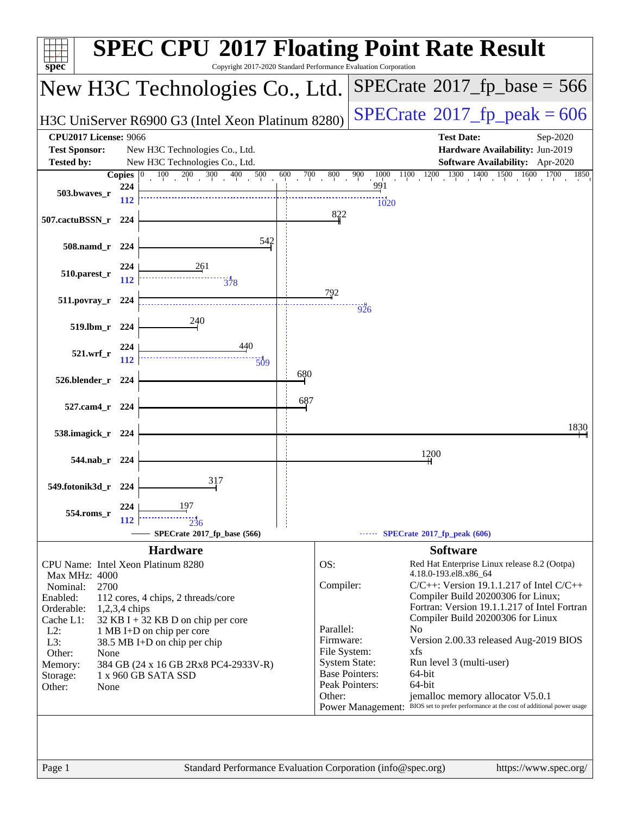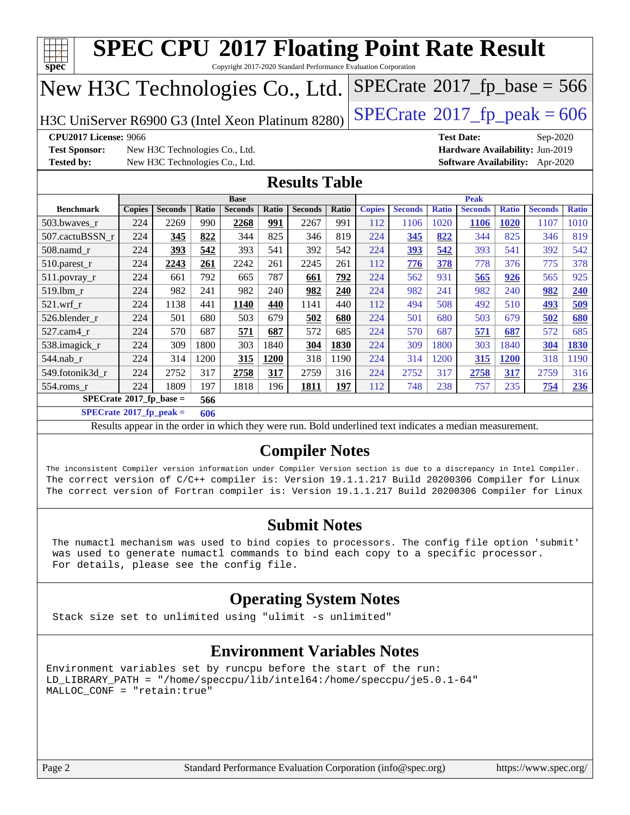|                                                                                                                                                                                                                                                                                                                               |               | <b>SPEC CPU®2017 Floating Point Rate Result</b>                                                          |       |                |       |                |       |                                 |                |              |                |              |                |              |
|-------------------------------------------------------------------------------------------------------------------------------------------------------------------------------------------------------------------------------------------------------------------------------------------------------------------------------|---------------|----------------------------------------------------------------------------------------------------------|-------|----------------|-------|----------------|-------|---------------------------------|----------------|--------------|----------------|--------------|----------------|--------------|
| $spec^*$<br>Copyright 2017-2020 Standard Performance Evaluation Corporation<br>$SPECrate^{\circ}2017$ [p base = 566                                                                                                                                                                                                           |               |                                                                                                          |       |                |       |                |       |                                 |                |              |                |              |                |              |
| New H3C Technologies Co., Ltd.                                                                                                                                                                                                                                                                                                |               |                                                                                                          |       |                |       |                |       |                                 |                |              |                |              |                |              |
| $SPECTate@2017_fp\_peak = 606$<br>H3C UniServer R6900 G3 (Intel Xeon Platinum 8280)                                                                                                                                                                                                                                           |               |                                                                                                          |       |                |       |                |       |                                 |                |              |                |              |                |              |
| <b>CPU2017 License: 9066</b><br><b>Test Date:</b><br>Sep-2020                                                                                                                                                                                                                                                                 |               |                                                                                                          |       |                |       |                |       |                                 |                |              |                |              |                |              |
| <b>Test Sponsor:</b>                                                                                                                                                                                                                                                                                                          |               | New H3C Technologies Co., Ltd.                                                                           |       |                |       |                |       | Hardware Availability: Jun-2019 |                |              |                |              |                |              |
| <b>Tested by:</b>                                                                                                                                                                                                                                                                                                             |               | New H3C Technologies Co., Ltd.                                                                           |       |                |       |                |       | Software Availability: Apr-2020 |                |              |                |              |                |              |
| <b>Results Table</b>                                                                                                                                                                                                                                                                                                          |               |                                                                                                          |       |                |       |                |       |                                 |                |              |                |              |                |              |
|                                                                                                                                                                                                                                                                                                                               |               |                                                                                                          |       | <b>Base</b>    |       |                |       |                                 |                |              | <b>Peak</b>    |              |                |              |
| <b>Benchmark</b>                                                                                                                                                                                                                                                                                                              | <b>Copies</b> | <b>Seconds</b>                                                                                           | Ratio | <b>Seconds</b> | Ratio | <b>Seconds</b> | Ratio | <b>Copies</b>                   | <b>Seconds</b> | <b>Ratio</b> | <b>Seconds</b> | <b>Ratio</b> | <b>Seconds</b> | <b>Ratio</b> |
| 503.bwayes r                                                                                                                                                                                                                                                                                                                  | 224           | 2269                                                                                                     | 990   | 2268           | 991   | 2267           | 991   | 112                             | 1106           | 1020         | <b>1106</b>    | 1020         | 1107           | 1010         |
| 507.cactuBSSN_r                                                                                                                                                                                                                                                                                                               | 224           | 345                                                                                                      | 822   | 344            | 825   | 346            | 819   | 224                             | 345            | 822          | 344            | 825          | 346            | 819          |
| 508.namd_r                                                                                                                                                                                                                                                                                                                    | 224           | 393                                                                                                      | 542   | 393            | 541   | 392            | 542   | 224                             | 393            | 542          | 393            | 541          | 392            | 542          |
| 510.parest_r                                                                                                                                                                                                                                                                                                                  | 224           | 2243                                                                                                     | 261   | 2242           | 261   | 2245           | 261   | 112                             | 776            | 378          | 778            | 376          | 775            | 378          |
| 511.povray_r                                                                                                                                                                                                                                                                                                                  | 224           | 661                                                                                                      | 792   | 665            | 787   | 661            | 792   | 224                             | 562            | 931          | 565            | 926          | 565            | 925          |
| 519.lbm r                                                                                                                                                                                                                                                                                                                     | 224           | 982                                                                                                      | 241   | 982            | 240   | 982            | 240   | 224                             | 982            | 241          | 982            | 240          | 982            | 240          |
| $521$ .wrf r                                                                                                                                                                                                                                                                                                                  | 224           | 1138                                                                                                     | 441   | 1140           | 440   | 1141           | 440   | 112                             | 494            | 508          | 492            | 510          | 493            | 509          |
| 526.blender r                                                                                                                                                                                                                                                                                                                 | 224           | 501                                                                                                      | 680   | 503            | 679   | 502            | 680   | 224                             | 501            | 680          | 503            | 679          | 502            | 680          |
| 527.cam4 r                                                                                                                                                                                                                                                                                                                    | 224           | 570                                                                                                      | 687   | 571            | 687   | 572            | 685   | 224                             | 570            | 687          | 571            | 687          | 572            | 685          |
| 538.imagick_r                                                                                                                                                                                                                                                                                                                 | 224           | 309                                                                                                      | 1800  | 303            | 1840  | 304            | 1830  | 224                             | 309            | 1800         | 303            | 1840         | 304            | 1830         |
| $544$ .nab_r                                                                                                                                                                                                                                                                                                                  | 224           | 314                                                                                                      | 1200  | 315            | 1200  | 318            | 1190  | 224                             | 314            | 1200         | 315            | <b>1200</b>  | 318            | 1190         |
| 549.fotonik3d_r                                                                                                                                                                                                                                                                                                               | 224           | 2752                                                                                                     | 317   | 2758           | 317   | 2759           | 316   | 224                             | 2752           | 317          | 2758           | 317          | 2759           | 316          |
| 554.roms_r                                                                                                                                                                                                                                                                                                                    | 224           | 1809                                                                                                     | 197   | 1818           | 196   | 1811           | 197   | 112                             | 748            | 238          | 757            | 235          | 754            | 236          |
| $SPECrate^*2017_fp\_base =$                                                                                                                                                                                                                                                                                                   |               |                                                                                                          | 566   |                |       |                |       |                                 |                |              |                |              |                |              |
| $SPECrate^{\circ}2017$ _fp_peak =                                                                                                                                                                                                                                                                                             |               |                                                                                                          | 606   |                |       |                |       |                                 |                |              |                |              |                |              |
|                                                                                                                                                                                                                                                                                                                               |               | Results appear in the order in which they were run. Bold underlined text indicates a median measurement. |       |                |       |                |       |                                 |                |              |                |              |                |              |
| <b>Compiler Notes</b>                                                                                                                                                                                                                                                                                                         |               |                                                                                                          |       |                |       |                |       |                                 |                |              |                |              |                |              |
| The inconsistent Compiler version information under Compiler Version section is due to a discrepancy in Intel Compiler.<br>The correct version of C/C++ compiler is: Version 19.1.1.217 Build 20200306 Compiler for Linux<br>The correct version of Fortran compiler is: Version 19.1.1.217 Build 20200306 Compiler for Linux |               |                                                                                                          |       |                |       |                |       |                                 |                |              |                |              |                |              |

### **[Submit Notes](http://www.spec.org/auto/cpu2017/Docs/result-fields.html#SubmitNotes)**

 The numactl mechanism was used to bind copies to processors. The config file option 'submit' was used to generate numactl commands to bind each copy to a specific processor. For details, please see the config file.

### **[Operating System Notes](http://www.spec.org/auto/cpu2017/Docs/result-fields.html#OperatingSystemNotes)**

Stack size set to unlimited using "ulimit -s unlimited"

### **[Environment Variables Notes](http://www.spec.org/auto/cpu2017/Docs/result-fields.html#EnvironmentVariablesNotes)**

Environment variables set by runcpu before the start of the run: LD\_LIBRARY\_PATH = "/home/speccpu/lib/intel64:/home/speccpu/je5.0.1-64" MALLOC\_CONF = "retain:true"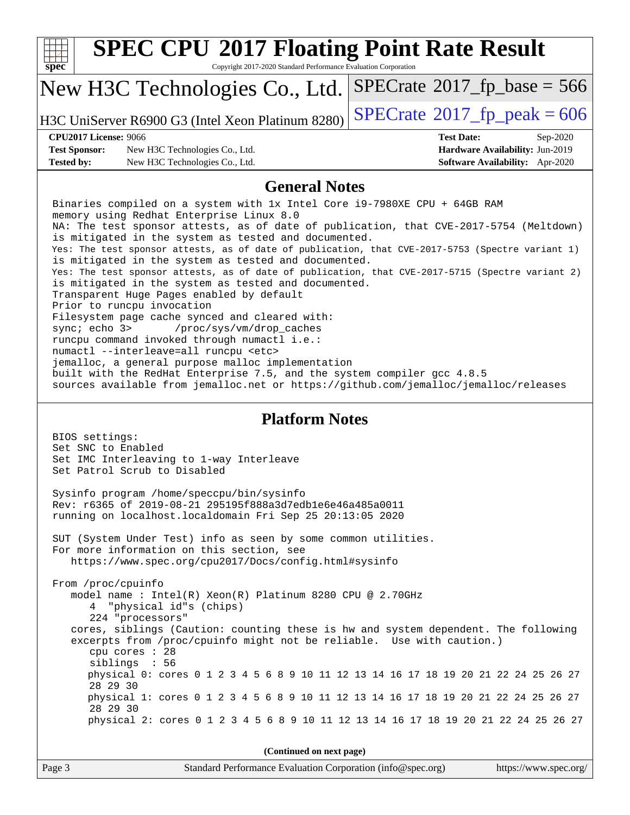| spec <sup>®</sup>                    | <b>SPEC CPU®2017 Floating Point Rate Result</b><br>Copyright 2017-2020 Standard Performance Evaluation Corporation                                                                                                                                                                                                                                                                                                                                                                                                                                                                                                                                                                                                                                                                                                                                                                                                                                                                                                                                                                 |                                            |                                 |  |  |  |  |
|--------------------------------------|------------------------------------------------------------------------------------------------------------------------------------------------------------------------------------------------------------------------------------------------------------------------------------------------------------------------------------------------------------------------------------------------------------------------------------------------------------------------------------------------------------------------------------------------------------------------------------------------------------------------------------------------------------------------------------------------------------------------------------------------------------------------------------------------------------------------------------------------------------------------------------------------------------------------------------------------------------------------------------------------------------------------------------------------------------------------------------|--------------------------------------------|---------------------------------|--|--|--|--|
|                                      | New H3C Technologies Co., Ltd.                                                                                                                                                                                                                                                                                                                                                                                                                                                                                                                                                                                                                                                                                                                                                                                                                                                                                                                                                                                                                                                     | $SPECrate^{\circ}2017$ _fp_base = 566      |                                 |  |  |  |  |
|                                      | H3C UniServer R6900 G3 (Intel Xeon Platinum 8280)                                                                                                                                                                                                                                                                                                                                                                                                                                                                                                                                                                                                                                                                                                                                                                                                                                                                                                                                                                                                                                  | $SPECTate$ <sup>®</sup> 2017_fp_peak = 606 |                                 |  |  |  |  |
| <b>CPU2017 License: 9066</b>         |                                                                                                                                                                                                                                                                                                                                                                                                                                                                                                                                                                                                                                                                                                                                                                                                                                                                                                                                                                                                                                                                                    | <b>Test Date:</b>                          | Sep-2020                        |  |  |  |  |
| <b>Test Sponsor:</b>                 | New H3C Technologies Co., Ltd.                                                                                                                                                                                                                                                                                                                                                                                                                                                                                                                                                                                                                                                                                                                                                                                                                                                                                                                                                                                                                                                     |                                            | Hardware Availability: Jun-2019 |  |  |  |  |
| <b>Tested by:</b>                    | New H3C Technologies Co., Ltd.                                                                                                                                                                                                                                                                                                                                                                                                                                                                                                                                                                                                                                                                                                                                                                                                                                                                                                                                                                                                                                                     |                                            | Software Availability: Apr-2020 |  |  |  |  |
| <b>General Notes</b>                 |                                                                                                                                                                                                                                                                                                                                                                                                                                                                                                                                                                                                                                                                                                                                                                                                                                                                                                                                                                                                                                                                                    |                                            |                                 |  |  |  |  |
| sync; echo 3>                        | Binaries compiled on a system with 1x Intel Core i9-7980XE CPU + 64GB RAM<br>memory using Redhat Enterprise Linux 8.0<br>NA: The test sponsor attests, as of date of publication, that CVE-2017-5754 (Meltdown)<br>is mitigated in the system as tested and documented.<br>Yes: The test sponsor attests, as of date of publication, that CVE-2017-5753 (Spectre variant 1)<br>is mitigated in the system as tested and documented.<br>Yes: The test sponsor attests, as of date of publication, that CVE-2017-5715 (Spectre variant 2)<br>is mitigated in the system as tested and documented.<br>Transparent Huge Pages enabled by default<br>Prior to runcpu invocation<br>Filesystem page cache synced and cleared with:<br>/proc/sys/vm/drop_caches<br>runcpu command invoked through numactl i.e.:<br>numactl --interleave=all runcpu <etc><br/>jemalloc, a general purpose malloc implementation<br/>built with the RedHat Enterprise 7.5, and the system compiler gcc 4.8.5<br/>sources available from jemalloc.net or https://github.com/jemalloc/jemalloc/releases</etc> |                                            |                                 |  |  |  |  |
| BIOS settings:<br>Set SNC to Enabled | <b>Platform Notes</b><br>Set IMC Interleaving to 1-way Interleave<br>Set Patrol Scrub to Disabled                                                                                                                                                                                                                                                                                                                                                                                                                                                                                                                                                                                                                                                                                                                                                                                                                                                                                                                                                                                  |                                            |                                 |  |  |  |  |
|                                      | Sysinfo program /home/speccpu/bin/sysinfo<br>Rev: r6365 of 2019-08-21 295195f888a3d7edble6e46a485a0011<br>running on localhost.localdomain Fri Sep 25 20:13:05 2020                                                                                                                                                                                                                                                                                                                                                                                                                                                                                                                                                                                                                                                                                                                                                                                                                                                                                                                |                                            |                                 |  |  |  |  |
|                                      | SUT (System Under Test) info as seen by some common utilities.<br>For more information on this section, see<br>https://www.spec.org/cpu2017/Docs/config.html#sysinfo                                                                                                                                                                                                                                                                                                                                                                                                                                                                                                                                                                                                                                                                                                                                                                                                                                                                                                               |                                            |                                 |  |  |  |  |
| From /proc/cpuinfo                   | model name : Intel(R) Xeon(R) Platinum 8280 CPU @ 2.70GHz<br>4 "physical id"s (chips)<br>224 "processors"<br>cores, siblings (Caution: counting these is hw and system dependent. The following<br>excerpts from /proc/cpuinfo might not be reliable. Use with caution.)<br>cpu cores : 28<br>siblings : 56                                                                                                                                                                                                                                                                                                                                                                                                                                                                                                                                                                                                                                                                                                                                                                        |                                            |                                 |  |  |  |  |
| 28 29 30                             | physical 0: cores 0 1 2 3 4 5 6 8 9 10 11 12 13 14 16 17 18 19 20 21 22 24 25 26 27<br>physical 1: cores 0 1 2 3 4 5 6 8 9 10 11 12 13 14 16 17 18 19 20 21 22 24 25 26 27                                                                                                                                                                                                                                                                                                                                                                                                                                                                                                                                                                                                                                                                                                                                                                                                                                                                                                         |                                            |                                 |  |  |  |  |
| 28 29 30                             | physical 2: cores 0 1 2 3 4 5 6 8 9 10 11 12 13 14 16 17 18 19 20 21 22 24 25 26 27                                                                                                                                                                                                                                                                                                                                                                                                                                                                                                                                                                                                                                                                                                                                                                                                                                                                                                                                                                                                |                                            |                                 |  |  |  |  |
|                                      |                                                                                                                                                                                                                                                                                                                                                                                                                                                                                                                                                                                                                                                                                                                                                                                                                                                                                                                                                                                                                                                                                    |                                            |                                 |  |  |  |  |
|                                      | (Continued on next page)                                                                                                                                                                                                                                                                                                                                                                                                                                                                                                                                                                                                                                                                                                                                                                                                                                                                                                                                                                                                                                                           |                                            |                                 |  |  |  |  |
| Page 3                               | Standard Performance Evaluation Corporation (info@spec.org)                                                                                                                                                                                                                                                                                                                                                                                                                                                                                                                                                                                                                                                                                                                                                                                                                                                                                                                                                                                                                        |                                            | https://www.spec.org/           |  |  |  |  |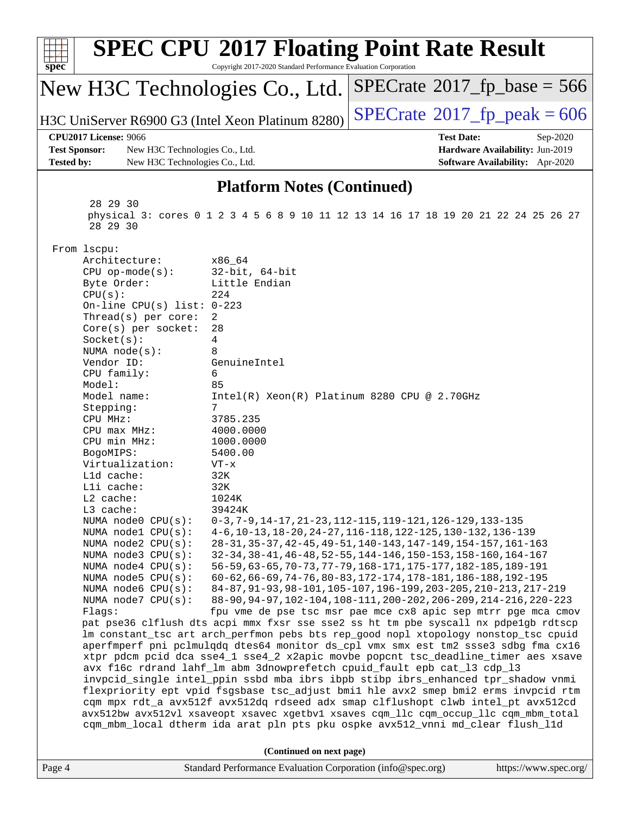| $spec^*$                                                                                                                                                                 | <b>SPEC CPU®2017 Floating Point Rate Result</b><br>Copyright 2017-2020 Standard Performance Evaluation Corporation                                                         |                                                                                                                                  |                                        |  |  |  |
|--------------------------------------------------------------------------------------------------------------------------------------------------------------------------|----------------------------------------------------------------------------------------------------------------------------------------------------------------------------|----------------------------------------------------------------------------------------------------------------------------------|----------------------------------------|--|--|--|
| New H3C Technologies Co., Ltd.                                                                                                                                           |                                                                                                                                                                            | $SPECrate^{\circ}2017$ _fp_base = 566                                                                                            |                                        |  |  |  |
| H3C UniServer R6900 G3 (Intel Xeon Platinum 8280)                                                                                                                        |                                                                                                                                                                            | $SPECTate$ <sup>®</sup> 2017_fp_peak = 606                                                                                       |                                        |  |  |  |
| <b>CPU2017 License: 9066</b>                                                                                                                                             |                                                                                                                                                                            | <b>Test Date:</b>                                                                                                                | Sep-2020                               |  |  |  |
| <b>Test Sponsor:</b><br>New H3C Technologies Co., Ltd.                                                                                                                   |                                                                                                                                                                            |                                                                                                                                  | Hardware Availability: Jun-2019        |  |  |  |
| <b>Tested by:</b><br>New H3C Technologies Co., Ltd.                                                                                                                      |                                                                                                                                                                            |                                                                                                                                  | <b>Software Availability:</b> Apr-2020 |  |  |  |
|                                                                                                                                                                          | <b>Platform Notes (Continued)</b>                                                                                                                                          |                                                                                                                                  |                                        |  |  |  |
| 28 29 30<br>physical 3: cores 0 1 2 3 4 5 6 8 9 10 11 12 13 14 16 17 18 19 20 21 22 24 25 26 27<br>28 29 30                                                              |                                                                                                                                                                            |                                                                                                                                  |                                        |  |  |  |
| From lscpu:                                                                                                                                                              |                                                                                                                                                                            |                                                                                                                                  |                                        |  |  |  |
| Architecture:                                                                                                                                                            | x86 64                                                                                                                                                                     |                                                                                                                                  |                                        |  |  |  |
| $CPU$ op-mode( $s$ ):                                                                                                                                                    | $32$ -bit, $64$ -bit                                                                                                                                                       |                                                                                                                                  |                                        |  |  |  |
| Byte Order:<br>CPU(s):                                                                                                                                                   | Little Endian<br>224                                                                                                                                                       |                                                                                                                                  |                                        |  |  |  |
| On-line CPU(s) list: $0-223$                                                                                                                                             |                                                                                                                                                                            |                                                                                                                                  |                                        |  |  |  |
| Thread(s) per core:                                                                                                                                                      | 2                                                                                                                                                                          |                                                                                                                                  |                                        |  |  |  |
| $Core(s)$ per socket:                                                                                                                                                    | 28                                                                                                                                                                         |                                                                                                                                  |                                        |  |  |  |
| Socket(s):                                                                                                                                                               | 4<br>8                                                                                                                                                                     |                                                                                                                                  |                                        |  |  |  |
| NUMA $node(s):$<br>Vendor ID:                                                                                                                                            | GenuineIntel                                                                                                                                                               |                                                                                                                                  |                                        |  |  |  |
| CPU family:                                                                                                                                                              | 6                                                                                                                                                                          |                                                                                                                                  |                                        |  |  |  |
| Model:                                                                                                                                                                   | 85                                                                                                                                                                         |                                                                                                                                  |                                        |  |  |  |
| Model name:                                                                                                                                                              | $Intel(R) Xeon(R) Platinum 8280 CPU @ 2.70GHz$                                                                                                                             |                                                                                                                                  |                                        |  |  |  |
| Stepping:                                                                                                                                                                | 7                                                                                                                                                                          |                                                                                                                                  |                                        |  |  |  |
| CPU MHz:<br>$CPU$ max $MHz:$                                                                                                                                             | 3785.235<br>4000.0000                                                                                                                                                      |                                                                                                                                  |                                        |  |  |  |
| CPU min MHz:                                                                                                                                                             | 1000.0000                                                                                                                                                                  |                                                                                                                                  |                                        |  |  |  |
| BogoMIPS:                                                                                                                                                                | 5400.00                                                                                                                                                                    |                                                                                                                                  |                                        |  |  |  |
| Virtualization:                                                                                                                                                          | $VT - x$                                                                                                                                                                   |                                                                                                                                  |                                        |  |  |  |
| L1d cache:                                                                                                                                                               | 32K                                                                                                                                                                        |                                                                                                                                  |                                        |  |  |  |
| Lli cache:                                                                                                                                                               | 32K                                                                                                                                                                        |                                                                                                                                  |                                        |  |  |  |
| L2 cache:<br>L3 cache:                                                                                                                                                   | 1024K<br>39424K                                                                                                                                                            |                                                                                                                                  |                                        |  |  |  |
| NUMA node0 CPU(s):                                                                                                                                                       |                                                                                                                                                                            | 0-3, 7-9, 14-17, 21-23, 112-115, 119-121, 126-129, 133-135                                                                       |                                        |  |  |  |
| NUMA node1 CPU(s):                                                                                                                                                       |                                                                                                                                                                            | 4-6, 10-13, 18-20, 24-27, 116-118, 122-125, 130-132, 136-139                                                                     |                                        |  |  |  |
| NUMA node2 CPU(s):                                                                                                                                                       |                                                                                                                                                                            | 28-31, 35-37, 42-45, 49-51, 140-143, 147-149, 154-157, 161-163                                                                   |                                        |  |  |  |
| NUMA node3 CPU(s):                                                                                                                                                       |                                                                                                                                                                            | 32-34, 38-41, 46-48, 52-55, 144-146, 150-153, 158-160, 164-167                                                                   |                                        |  |  |  |
| NUMA $node4$ $CPU(s):$<br>NUMA $node5$ CPU $(s)$ :                                                                                                                       |                                                                                                                                                                            | 56-59, 63-65, 70-73, 77-79, 168-171, 175-177, 182-185, 189-191<br>60-62, 66-69, 74-76, 80-83, 172-174, 178-181, 186-188, 192-195 |                                        |  |  |  |
| NUMA node6 CPU(s):                                                                                                                                                       |                                                                                                                                                                            | 84-87, 91-93, 98-101, 105-107, 196-199, 203-205, 210-213, 217-219                                                                |                                        |  |  |  |
| NUMA node7 CPU(s):                                                                                                                                                       |                                                                                                                                                                            | 88-90, 94-97, 102-104, 108-111, 200-202, 206-209, 214-216, 220-223                                                               |                                        |  |  |  |
| Flags:                                                                                                                                                                   | fpu vme de pse tsc msr pae mce cx8 apic sep mtrr pge mca cmov                                                                                                              |                                                                                                                                  |                                        |  |  |  |
|                                                                                                                                                                          | pat pse36 clflush dts acpi mmx fxsr sse sse2 ss ht tm pbe syscall nx pdpelgb rdtscp<br>lm constant_tsc art arch_perfmon pebs bts rep_good nopl xtopology nonstop_tsc cpuid |                                                                                                                                  |                                        |  |  |  |
|                                                                                                                                                                          |                                                                                                                                                                            |                                                                                                                                  |                                        |  |  |  |
| aperfmperf pni pclmulqdq dtes64 monitor ds_cpl vmx smx est tm2 ssse3 sdbg fma cx16<br>xtpr pdcm pcid dca sse4_1 sse4_2 x2apic movbe popcnt tsc_deadline_timer aes xsave  |                                                                                                                                                                            |                                                                                                                                  |                                        |  |  |  |
| avx f16c rdrand lahf_lm abm 3dnowprefetch cpuid_fault epb cat_13 cdp_13                                                                                                  |                                                                                                                                                                            |                                                                                                                                  |                                        |  |  |  |
| invpcid_single intel_ppin ssbd mba ibrs ibpb stibp ibrs_enhanced tpr_shadow vnmi                                                                                         |                                                                                                                                                                            |                                                                                                                                  |                                        |  |  |  |
| flexpriority ept vpid fsgsbase tsc_adjust bmil hle avx2 smep bmi2 erms invpcid rtm                                                                                       |                                                                                                                                                                            |                                                                                                                                  |                                        |  |  |  |
| cqm mpx rdt_a avx512f avx512dq rdseed adx smap clflushopt clwb intel_pt avx512cd<br>avx512bw avx512vl xsaveopt xsavec xgetbvl xsaves cqm_llc cqm_occup_llc cqm_mbm_total |                                                                                                                                                                            |                                                                                                                                  |                                        |  |  |  |
|                                                                                                                                                                          | cqm_mbm_local dtherm ida arat pln pts pku ospke avx512_vnni md_clear flush_l1d                                                                                             |                                                                                                                                  |                                        |  |  |  |
| (Continued on next page)                                                                                                                                                 |                                                                                                                                                                            |                                                                                                                                  |                                        |  |  |  |
| Standard Performance Evaluation Corporation (info@spec.org)<br>https://www.spec.org/<br>Page 4                                                                           |                                                                                                                                                                            |                                                                                                                                  |                                        |  |  |  |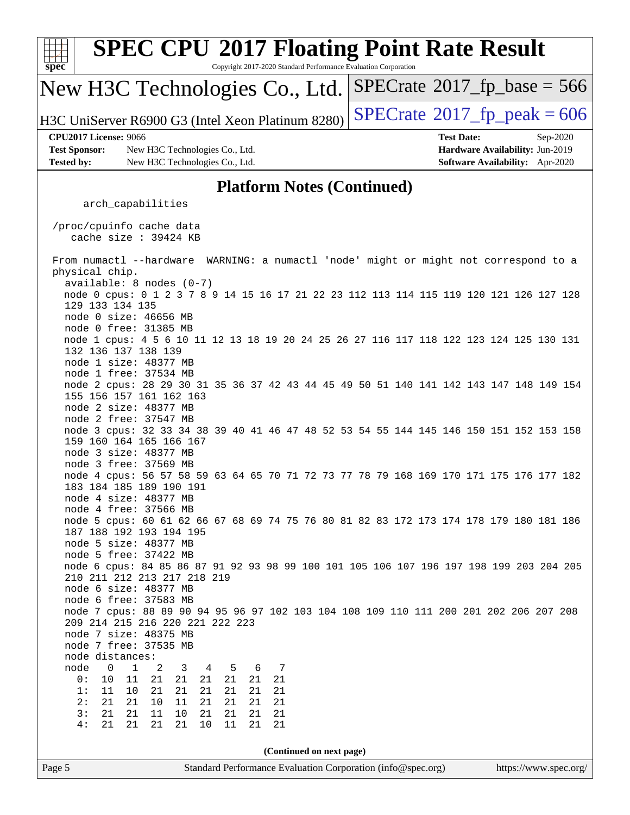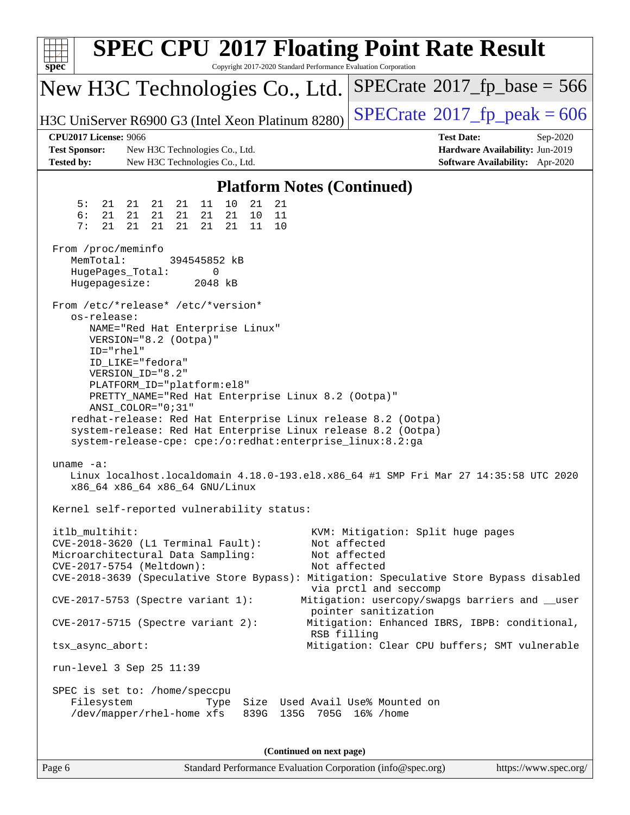| <b>SPEC CPU®2017 Floating Point Rate Result</b><br>Copyright 2017-2020 Standard Performance Evaluation Corporation<br>$spec^*$                                                                                    |                                                                                                            |  |  |  |  |  |  |
|-------------------------------------------------------------------------------------------------------------------------------------------------------------------------------------------------------------------|------------------------------------------------------------------------------------------------------------|--|--|--|--|--|--|
| New H3C Technologies Co., Ltd.                                                                                                                                                                                    | $SPECrate$ <sup>®</sup> 2017_fp_base = 566                                                                 |  |  |  |  |  |  |
| H3C UniServer R6900 G3 (Intel Xeon Platinum 8280)                                                                                                                                                                 | $SPECTate^{\circ}2017$ _fp_peak = 606                                                                      |  |  |  |  |  |  |
| <b>CPU2017 License: 9066</b><br><b>Test Sponsor:</b><br>New H3C Technologies Co., Ltd.<br><b>Tested by:</b><br>New H3C Technologies Co., Ltd.                                                                     | <b>Test Date:</b><br>Sep-2020<br>Hardware Availability: Jun-2019<br><b>Software Availability:</b> Apr-2020 |  |  |  |  |  |  |
| <b>Platform Notes (Continued)</b>                                                                                                                                                                                 |                                                                                                            |  |  |  |  |  |  |
| 5:<br>21<br>11<br>10<br>21<br>21<br>21<br>21<br>21                                                                                                                                                                |                                                                                                            |  |  |  |  |  |  |
| 6:<br>21<br>21<br>21<br>21<br>21<br>11<br>21<br>10<br>7:<br>21<br>21<br>21<br>21<br>21<br>21<br>11<br>10                                                                                                          |                                                                                                            |  |  |  |  |  |  |
| From /proc/meminfo<br>MemTotal:<br>394545852 kB<br>HugePages_Total:<br>0<br>Hugepagesize:<br>2048 kB                                                                                                              |                                                                                                            |  |  |  |  |  |  |
| From /etc/*release* /etc/*version*<br>os-release:<br>NAME="Red Hat Enterprise Linux"<br>VERSION="8.2 (Ootpa)"                                                                                                     |                                                                                                            |  |  |  |  |  |  |
| ID="rhel"<br>ID_LIKE="fedora"<br>VERSION_ID="8.2"<br>PLATFORM_ID="platform:el8"<br>PRETTY_NAME="Red Hat Enterprise Linux 8.2 (Ootpa)"                                                                             |                                                                                                            |  |  |  |  |  |  |
| ANSI_COLOR="0;31"<br>redhat-release: Red Hat Enterprise Linux release 8.2 (Ootpa)<br>system-release: Red Hat Enterprise Linux release 8.2 (Ootpa)<br>system-release-cpe: cpe:/o:redhat:enterprise_linux:8.2:ga    |                                                                                                            |  |  |  |  |  |  |
| uname $-a$ :<br>Linux localhost.localdomain 4.18.0-193.el8.x86_64 #1 SMP Fri Mar 27 14:35:58 UTC 2020<br>x86_64 x86_64 x86_64 GNU/Linux                                                                           |                                                                                                            |  |  |  |  |  |  |
| Kernel self-reported vulnerability status:                                                                                                                                                                        |                                                                                                            |  |  |  |  |  |  |
| itlb multihit:<br>CVE-2018-3620 (L1 Terminal Fault):<br>Microarchitectural Data Sampling:<br>CVE-2017-5754 (Meltdown):<br>CVE-2018-3639 (Speculative Store Bypass): Mitigation: Speculative Store Bypass disabled | KVM: Mitigation: Split huge pages<br>Not affected<br>Not affected<br>Not affected<br>via prctl and seccomp |  |  |  |  |  |  |
| CVE-2017-5753 (Spectre variant 1):                                                                                                                                                                                | Mitigation: usercopy/swapgs barriers and __user                                                            |  |  |  |  |  |  |
| $CVE-2017-5715$ (Spectre variant 2):                                                                                                                                                                              | pointer sanitization<br>Mitigation: Enhanced IBRS, IBPB: conditional,<br>RSB filling                       |  |  |  |  |  |  |
| tsx_async_abort:                                                                                                                                                                                                  | Mitigation: Clear CPU buffers; SMT vulnerable                                                              |  |  |  |  |  |  |
| run-level 3 Sep 25 11:39                                                                                                                                                                                          |                                                                                                            |  |  |  |  |  |  |
| SPEC is set to: /home/speccpu<br>Filesystem<br>Size Used Avail Use% Mounted on<br>Type<br>/dev/mapper/rhel-home xfs<br>839G 135G 705G 16% / home                                                                  |                                                                                                            |  |  |  |  |  |  |
| (Continued on next page)                                                                                                                                                                                          |                                                                                                            |  |  |  |  |  |  |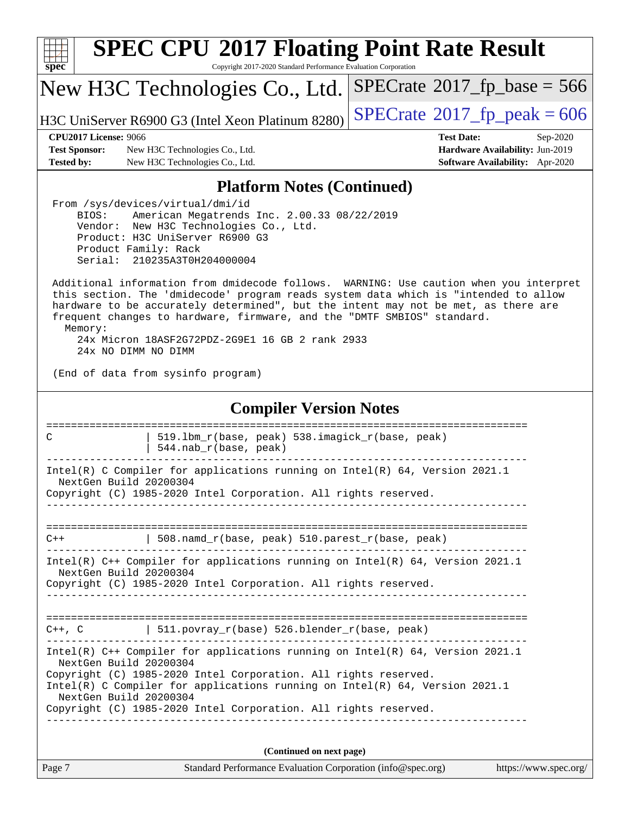

Copyright 2017-2020 Standard Performance Evaluation Corporation

### New H3C Technologies Co., Ltd.

H3C UniServer R6900 G3 (Intel Xeon Platinum 8280)  $\left|$  [SPECrate](http://www.spec.org/auto/cpu2017/Docs/result-fields.html#SPECrate2017fppeak)®[2017\\_fp\\_peak = 6](http://www.spec.org/auto/cpu2017/Docs/result-fields.html#SPECrate2017fppeak)06

 $SPECTate$ <sup>®</sup>[2017\\_fp\\_base =](http://www.spec.org/auto/cpu2017/Docs/result-fields.html#SPECrate2017fpbase) 566

### **[CPU2017 License:](http://www.spec.org/auto/cpu2017/Docs/result-fields.html#CPU2017License)** 9066 **[Test Date:](http://www.spec.org/auto/cpu2017/Docs/result-fields.html#TestDate)** Sep-2020

**[Test Sponsor:](http://www.spec.org/auto/cpu2017/Docs/result-fields.html#TestSponsor)** New H3C Technologies Co., Ltd. **[Hardware Availability:](http://www.spec.org/auto/cpu2017/Docs/result-fields.html#HardwareAvailability)** Jun-2019 **[Tested by:](http://www.spec.org/auto/cpu2017/Docs/result-fields.html#Testedby)** New H3C Technologies Co., Ltd. **[Software Availability:](http://www.spec.org/auto/cpu2017/Docs/result-fields.html#SoftwareAvailability)** Apr-2020

### **[Platform Notes \(Continued\)](http://www.spec.org/auto/cpu2017/Docs/result-fields.html#PlatformNotes)**

 From /sys/devices/virtual/dmi/id BIOS: American Megatrends Inc. 2.00.33 08/22/2019 Vendor: New H3C Technologies Co., Ltd. Product: H3C UniServer R6900 G3 Product Family: Rack Serial: 210235A3T0H204000004

 Additional information from dmidecode follows. WARNING: Use caution when you interpret this section. The 'dmidecode' program reads system data which is "intended to allow hardware to be accurately determined", but the intent may not be met, as there are frequent changes to hardware, firmware, and the "DMTF SMBIOS" standard. Memory: 24x Micron 18ASF2G72PDZ-2G9E1 16 GB 2 rank 2933

24x NO DIMM NO DIMM

(End of data from sysinfo program)

### **[Compiler Version Notes](http://www.spec.org/auto/cpu2017/Docs/result-fields.html#CompilerVersionNotes)**

============================================================================== C | 519.1bm r(base, peak) 538.imagick r(base, peak) | 544.nab\_r(base, peak) ------------------------------------------------------------------------------ Intel(R) C Compiler for applications running on Intel(R) 64, Version 2021.1 NextGen Build 20200304 Copyright (C) 1985-2020 Intel Corporation. All rights reserved. ------------------------------------------------------------------------------ ==============================================================================  $C++$  | 508.namd\_r(base, peak) 510.parest\_r(base, peak) ------------------------------------------------------------------------------ Intel(R) C++ Compiler for applications running on Intel(R) 64, Version 2021.1 NextGen Build 20200304 Copyright (C) 1985-2020 Intel Corporation. All rights reserved. ------------------------------------------------------------------------------ ============================================================================== C++, C  $| 511.povray_r(base) 526.blender_r(base, peak)$ ------------------------------------------------------------------------------ Intel(R) C++ Compiler for applications running on Intel(R) 64, Version 2021.1 NextGen Build 20200304 Copyright (C) 1985-2020 Intel Corporation. All rights reserved. Intel(R) C Compiler for applications running on Intel(R) 64, Version 2021.1 NextGen Build 20200304 Copyright (C) 1985-2020 Intel Corporation. All rights reserved. ------------------------------------------------------------------------------ **(Continued on next page)**

Page 7 Standard Performance Evaluation Corporation [\(info@spec.org\)](mailto:info@spec.org) <https://www.spec.org/>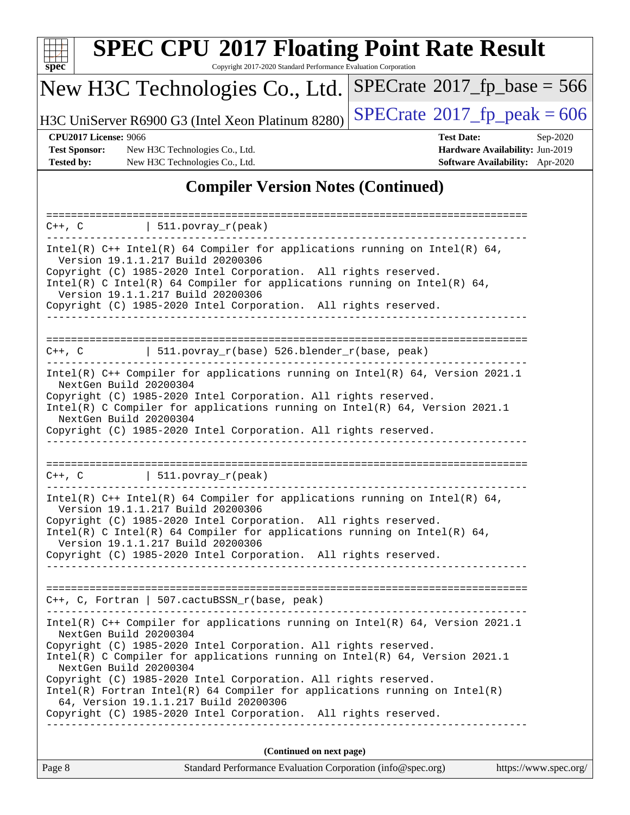

Copyright 2017-2020 Standard Performance Evaluation Corporation

## New H3C Technologies Co., Ltd.

H3C UniServer R6900 G3 (Intel Xeon Platinum 8280) [SPECrate](http://www.spec.org/auto/cpu2017/Docs/result-fields.html#SPECrate2017fppeak)<sup>®</sup>[2017\\_fp\\_peak = 6](http://www.spec.org/auto/cpu2017/Docs/result-fields.html#SPECrate2017fppeak)06

 $SPECTate$ <sup>®</sup>[2017\\_fp\\_base =](http://www.spec.org/auto/cpu2017/Docs/result-fields.html#SPECrate2017fpbase) 566

**[Test Sponsor:](http://www.spec.org/auto/cpu2017/Docs/result-fields.html#TestSponsor)** New H3C Technologies Co., Ltd. **[Hardware Availability:](http://www.spec.org/auto/cpu2017/Docs/result-fields.html#HardwareAvailability)** Jun-2019 **[Tested by:](http://www.spec.org/auto/cpu2017/Docs/result-fields.html#Testedby)** New H3C Technologies Co., Ltd. **[Software Availability:](http://www.spec.org/auto/cpu2017/Docs/result-fields.html#SoftwareAvailability)** Apr-2020

**[CPU2017 License:](http://www.spec.org/auto/cpu2017/Docs/result-fields.html#CPU2017License)** 9066 **[Test Date:](http://www.spec.org/auto/cpu2017/Docs/result-fields.html#TestDate)** Sep-2020

### **[Compiler Version Notes \(Continued\)](http://www.spec.org/auto/cpu2017/Docs/result-fields.html#CompilerVersionNotes)**

| $C++$ , $C$   511.povray_r(peak)                                                                                                                                                                                                                                                                                                                                                                                                                                                                                                                      |  |  |  |  |  |
|-------------------------------------------------------------------------------------------------------------------------------------------------------------------------------------------------------------------------------------------------------------------------------------------------------------------------------------------------------------------------------------------------------------------------------------------------------------------------------------------------------------------------------------------------------|--|--|--|--|--|
| Intel(R) $C++$ Intel(R) 64 Compiler for applications running on Intel(R) 64,<br>Version 19.1.1.217 Build 20200306<br>Copyright (C) 1985-2020 Intel Corporation. All rights reserved.<br>Intel(R) C Intel(R) 64 Compiler for applications running on Intel(R) 64,<br>Version 19.1.1.217 Build 20200306<br>Copyright (C) 1985-2020 Intel Corporation. All rights reserved.<br>-------------------------                                                                                                                                                 |  |  |  |  |  |
| $C++$ , C $\qquad$   511.povray_r(base) 526.blender_r(base, peak)                                                                                                                                                                                                                                                                                                                                                                                                                                                                                     |  |  |  |  |  |
| Intel(R) C++ Compiler for applications running on Intel(R) 64, Version 2021.1<br>NextGen Build 20200304<br>Copyright (C) 1985-2020 Intel Corporation. All rights reserved.<br>Intel(R) C Compiler for applications running on $Intel(R) 64$ , Version 2021.1<br>NextGen Build 20200304                                                                                                                                                                                                                                                                |  |  |  |  |  |
| Copyright (C) 1985-2020 Intel Corporation. All rights reserved.<br>______________________________                                                                                                                                                                                                                                                                                                                                                                                                                                                     |  |  |  |  |  |
| $C++$ , C $\qquad \qquad \vert$ 511.povray_r(peak)                                                                                                                                                                                                                                                                                                                                                                                                                                                                                                    |  |  |  |  |  |
| Intel(R) $C++$ Intel(R) 64 Compiler for applications running on Intel(R) 64,<br>Version 19.1.1.217 Build 20200306<br>Copyright (C) 1985-2020 Intel Corporation. All rights reserved.<br>Intel(R) C Intel(R) 64 Compiler for applications running on Intel(R) 64,<br>Version 19.1.1.217 Build 20200306<br>Copyright (C) 1985-2020 Intel Corporation. All rights reserved.                                                                                                                                                                              |  |  |  |  |  |
| $C++$ , C, Fortran   507.cactuBSSN_r(base, peak)                                                                                                                                                                                                                                                                                                                                                                                                                                                                                                      |  |  |  |  |  |
| Intel(R) C++ Compiler for applications running on Intel(R) $64$ , Version 2021.1<br>NextGen Build 20200304<br>Copyright (C) 1985-2020 Intel Corporation. All rights reserved.<br>Intel(R) C Compiler for applications running on Intel(R) 64, Version 2021.1<br>NextGen Build 20200304<br>Copyright (C) 1985-2020 Intel Corporation. All rights reserved.<br>$Intel(R)$ Fortran Intel(R) 64 Compiler for applications running on Intel(R)<br>64, Version 19.1.1.217 Build 20200306<br>Copyright (C) 1985-2020 Intel Corporation. All rights reserved. |  |  |  |  |  |
| (Continued on next page)                                                                                                                                                                                                                                                                                                                                                                                                                                                                                                                              |  |  |  |  |  |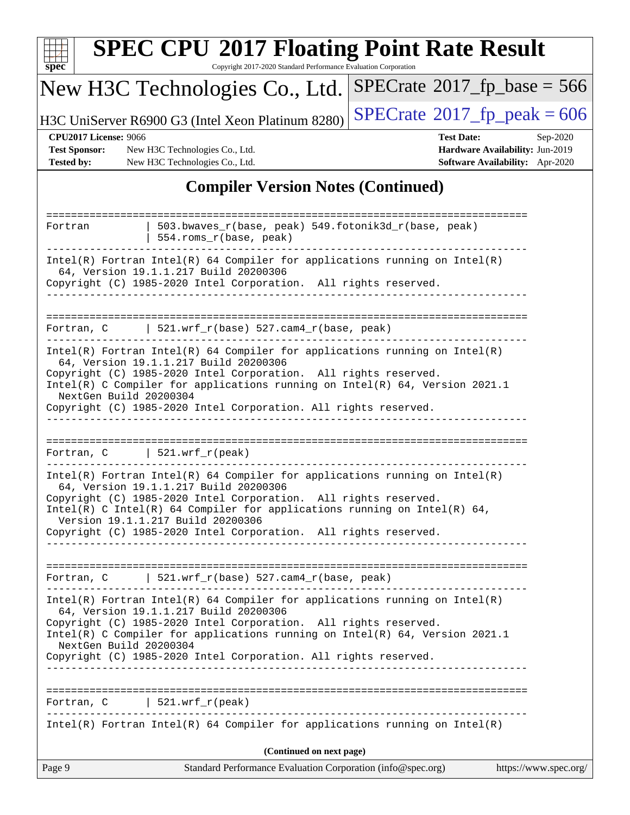| $spec^*$                                                                                                                                                                                                                                                                                                                                                                                               | <b>SPEC CPU®2017 Floating Point Rate Result</b><br>Copyright 2017-2020 Standard Performance Evaluation Corporation |  |  |  |  |
|--------------------------------------------------------------------------------------------------------------------------------------------------------------------------------------------------------------------------------------------------------------------------------------------------------------------------------------------------------------------------------------------------------|--------------------------------------------------------------------------------------------------------------------|--|--|--|--|
| New H3C Technologies Co., Ltd.                                                                                                                                                                                                                                                                                                                                                                         | $SPECrate$ <sup>®</sup> 2017_fp_base = 566                                                                         |  |  |  |  |
| H3C UniServer R6900 G3 (Intel Xeon Platinum 8280)                                                                                                                                                                                                                                                                                                                                                      | $SPECTate^{\circ}2017$ _fp_peak = 606                                                                              |  |  |  |  |
| <b>CPU2017 License: 9066</b><br><b>Test Sponsor:</b><br>New H3C Technologies Co., Ltd.<br><b>Tested by:</b><br>New H3C Technologies Co., Ltd.                                                                                                                                                                                                                                                          | <b>Test Date:</b><br>Sep-2020<br>Hardware Availability: Jun-2019<br>Software Availability: Apr-2020                |  |  |  |  |
| <b>Compiler Version Notes (Continued)</b>                                                                                                                                                                                                                                                                                                                                                              |                                                                                                                    |  |  |  |  |
| Fortran<br>554.roms_r(base, peak)                                                                                                                                                                                                                                                                                                                                                                      | 503.bwaves_r(base, peak) 549.fotonik3d_r(base, peak)                                                               |  |  |  |  |
| $Intel(R)$ Fortran Intel(R) 64 Compiler for applications running on Intel(R)<br>64, Version 19.1.1.217 Build 20200306<br>Copyright (C) 1985-2020 Intel Corporation. All rights reserved.                                                                                                                                                                                                               |                                                                                                                    |  |  |  |  |
| $521.wrf_r(base) 527.cam4_r(base, peak)$<br>Fortran, C                                                                                                                                                                                                                                                                                                                                                 |                                                                                                                    |  |  |  |  |
| $Intel(R)$ Fortran Intel(R) 64 Compiler for applications running on Intel(R)<br>64, Version 19.1.1.217 Build 20200306<br>Copyright (C) 1985-2020 Intel Corporation. All rights reserved.<br>Intel(R) C Compiler for applications running on Intel(R) 64, Version 2021.1<br>NextGen Build 20200304<br>Copyright (C) 1985-2020 Intel Corporation. All rights reserved.                                   |                                                                                                                    |  |  |  |  |
| 521.wrf_r(peak)<br>Fortran, C                                                                                                                                                                                                                                                                                                                                                                          |                                                                                                                    |  |  |  |  |
| $Intel(R)$ Fortran Intel(R) 64 Compiler for applications running on Intel(R)<br>64, Version 19.1.1.217 Build 20200306<br>Copyright (C) 1985-2020 Intel Corporation. All rights reserved.<br>Intel(R) C Intel(R) 64 Compiler for applications running on Intel(R) 64,<br>Version 19.1.1.217 Build 20200306<br>Copyright (C) 1985-2020 Intel Corporation. All rights reserved.                           |                                                                                                                    |  |  |  |  |
| Fortran, C $\vert$ 521.wrf_r(base) 527.cam4_r(base, peak)                                                                                                                                                                                                                                                                                                                                              |                                                                                                                    |  |  |  |  |
| ___________________________<br>$Intel(R)$ Fortran Intel(R) 64 Compiler for applications running on Intel(R)<br>64, Version 19.1.1.217 Build 20200306<br>Copyright (C) 1985-2020 Intel Corporation. All rights reserved.<br>Intel(R) C Compiler for applications running on $Intel(R) 64$ , Version 2021.1<br>NextGen Build 20200304<br>Copyright (C) 1985-2020 Intel Corporation. All rights reserved. | -----------------------                                                                                            |  |  |  |  |
| Fortran, $C$   521.wrf_r(peak)                                                                                                                                                                                                                                                                                                                                                                         |                                                                                                                    |  |  |  |  |
| $Intel(R)$ Fortran Intel(R) 64 Compiler for applications running on Intel(R)                                                                                                                                                                                                                                                                                                                           |                                                                                                                    |  |  |  |  |
| Page 9                                                                                                                                                                                                                                                                                                                                                                                                 | (Continued on next page)<br>https://www.spec.org/<br>Standard Performance Evaluation Corporation (info@spec.org)   |  |  |  |  |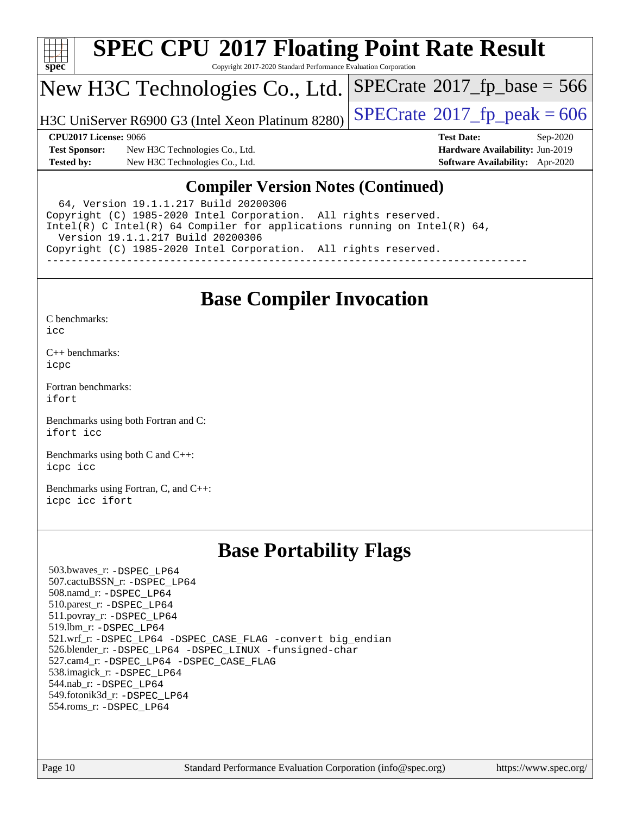

Copyright 2017-2020 Standard Performance Evaluation Corporation

### New H3C Technologies Co., Ltd.

H3C UniServer R6900 G3 (Intel Xeon Platinum 8280) [SPECrate](http://www.spec.org/auto/cpu2017/Docs/result-fields.html#SPECrate2017fppeak)®  $2017$  fp\_peak = 606

 $SPECTate$ <sup>®</sup>[2017\\_fp\\_base =](http://www.spec.org/auto/cpu2017/Docs/result-fields.html#SPECrate2017fpbase) 566

**[Test Sponsor:](http://www.spec.org/auto/cpu2017/Docs/result-fields.html#TestSponsor)** New H3C Technologies Co., Ltd. **[Hardware Availability:](http://www.spec.org/auto/cpu2017/Docs/result-fields.html#HardwareAvailability)** Jun-2019 **[Tested by:](http://www.spec.org/auto/cpu2017/Docs/result-fields.html#Testedby)** New H3C Technologies Co., Ltd. **[Software Availability:](http://www.spec.org/auto/cpu2017/Docs/result-fields.html#SoftwareAvailability)** Apr-2020

**[CPU2017 License:](http://www.spec.org/auto/cpu2017/Docs/result-fields.html#CPU2017License)** 9066 **[Test Date:](http://www.spec.org/auto/cpu2017/Docs/result-fields.html#TestDate)** Sep-2020

### **[Compiler Version Notes \(Continued\)](http://www.spec.org/auto/cpu2017/Docs/result-fields.html#CompilerVersionNotes)**

 64, Version 19.1.1.217 Build 20200306 Copyright (C) 1985-2020 Intel Corporation. All rights reserved. Intel(R) C Intel(R) 64 Compiler for applications running on Intel(R) 64, Version 19.1.1.217 Build 20200306 Copyright (C) 1985-2020 Intel Corporation. All rights reserved. ------------------------------------------------------------------------------

## **[Base Compiler Invocation](http://www.spec.org/auto/cpu2017/Docs/result-fields.html#BaseCompilerInvocation)**

[C benchmarks](http://www.spec.org/auto/cpu2017/Docs/result-fields.html#Cbenchmarks): [icc](http://www.spec.org/cpu2017/results/res2020q4/cpu2017-20201014-24210.flags.html#user_CCbase_intel_icc_66fc1ee009f7361af1fbd72ca7dcefbb700085f36577c54f309893dd4ec40d12360134090235512931783d35fd58c0460139e722d5067c5574d8eaf2b3e37e92)

[C++ benchmarks:](http://www.spec.org/auto/cpu2017/Docs/result-fields.html#CXXbenchmarks) [icpc](http://www.spec.org/cpu2017/results/res2020q4/cpu2017-20201014-24210.flags.html#user_CXXbase_intel_icpc_c510b6838c7f56d33e37e94d029a35b4a7bccf4766a728ee175e80a419847e808290a9b78be685c44ab727ea267ec2f070ec5dc83b407c0218cded6866a35d07)

[Fortran benchmarks](http://www.spec.org/auto/cpu2017/Docs/result-fields.html#Fortranbenchmarks): [ifort](http://www.spec.org/cpu2017/results/res2020q4/cpu2017-20201014-24210.flags.html#user_FCbase_intel_ifort_8111460550e3ca792625aed983ce982f94888b8b503583aa7ba2b8303487b4d8a21a13e7191a45c5fd58ff318f48f9492884d4413fa793fd88dd292cad7027ca)

[Benchmarks using both Fortran and C](http://www.spec.org/auto/cpu2017/Docs/result-fields.html#BenchmarksusingbothFortranandC): [ifort](http://www.spec.org/cpu2017/results/res2020q4/cpu2017-20201014-24210.flags.html#user_CC_FCbase_intel_ifort_8111460550e3ca792625aed983ce982f94888b8b503583aa7ba2b8303487b4d8a21a13e7191a45c5fd58ff318f48f9492884d4413fa793fd88dd292cad7027ca) [icc](http://www.spec.org/cpu2017/results/res2020q4/cpu2017-20201014-24210.flags.html#user_CC_FCbase_intel_icc_66fc1ee009f7361af1fbd72ca7dcefbb700085f36577c54f309893dd4ec40d12360134090235512931783d35fd58c0460139e722d5067c5574d8eaf2b3e37e92)

[Benchmarks using both C and C++](http://www.spec.org/auto/cpu2017/Docs/result-fields.html#BenchmarksusingbothCandCXX): [icpc](http://www.spec.org/cpu2017/results/res2020q4/cpu2017-20201014-24210.flags.html#user_CC_CXXbase_intel_icpc_c510b6838c7f56d33e37e94d029a35b4a7bccf4766a728ee175e80a419847e808290a9b78be685c44ab727ea267ec2f070ec5dc83b407c0218cded6866a35d07) [icc](http://www.spec.org/cpu2017/results/res2020q4/cpu2017-20201014-24210.flags.html#user_CC_CXXbase_intel_icc_66fc1ee009f7361af1fbd72ca7dcefbb700085f36577c54f309893dd4ec40d12360134090235512931783d35fd58c0460139e722d5067c5574d8eaf2b3e37e92)

[Benchmarks using Fortran, C, and C++:](http://www.spec.org/auto/cpu2017/Docs/result-fields.html#BenchmarksusingFortranCandCXX) [icpc](http://www.spec.org/cpu2017/results/res2020q4/cpu2017-20201014-24210.flags.html#user_CC_CXX_FCbase_intel_icpc_c510b6838c7f56d33e37e94d029a35b4a7bccf4766a728ee175e80a419847e808290a9b78be685c44ab727ea267ec2f070ec5dc83b407c0218cded6866a35d07) [icc](http://www.spec.org/cpu2017/results/res2020q4/cpu2017-20201014-24210.flags.html#user_CC_CXX_FCbase_intel_icc_66fc1ee009f7361af1fbd72ca7dcefbb700085f36577c54f309893dd4ec40d12360134090235512931783d35fd58c0460139e722d5067c5574d8eaf2b3e37e92) [ifort](http://www.spec.org/cpu2017/results/res2020q4/cpu2017-20201014-24210.flags.html#user_CC_CXX_FCbase_intel_ifort_8111460550e3ca792625aed983ce982f94888b8b503583aa7ba2b8303487b4d8a21a13e7191a45c5fd58ff318f48f9492884d4413fa793fd88dd292cad7027ca)

## **[Base Portability Flags](http://www.spec.org/auto/cpu2017/Docs/result-fields.html#BasePortabilityFlags)**

 503.bwaves\_r: [-DSPEC\\_LP64](http://www.spec.org/cpu2017/results/res2020q4/cpu2017-20201014-24210.flags.html#suite_basePORTABILITY503_bwaves_r_DSPEC_LP64) 507.cactuBSSN\_r: [-DSPEC\\_LP64](http://www.spec.org/cpu2017/results/res2020q4/cpu2017-20201014-24210.flags.html#suite_basePORTABILITY507_cactuBSSN_r_DSPEC_LP64) 508.namd\_r: [-DSPEC\\_LP64](http://www.spec.org/cpu2017/results/res2020q4/cpu2017-20201014-24210.flags.html#suite_basePORTABILITY508_namd_r_DSPEC_LP64) 510.parest\_r: [-DSPEC\\_LP64](http://www.spec.org/cpu2017/results/res2020q4/cpu2017-20201014-24210.flags.html#suite_basePORTABILITY510_parest_r_DSPEC_LP64) 511.povray\_r: [-DSPEC\\_LP64](http://www.spec.org/cpu2017/results/res2020q4/cpu2017-20201014-24210.flags.html#suite_basePORTABILITY511_povray_r_DSPEC_LP64) 519.lbm\_r: [-DSPEC\\_LP64](http://www.spec.org/cpu2017/results/res2020q4/cpu2017-20201014-24210.flags.html#suite_basePORTABILITY519_lbm_r_DSPEC_LP64) 521.wrf\_r: [-DSPEC\\_LP64](http://www.spec.org/cpu2017/results/res2020q4/cpu2017-20201014-24210.flags.html#suite_basePORTABILITY521_wrf_r_DSPEC_LP64) [-DSPEC\\_CASE\\_FLAG](http://www.spec.org/cpu2017/results/res2020q4/cpu2017-20201014-24210.flags.html#b521.wrf_r_baseCPORTABILITY_DSPEC_CASE_FLAG) [-convert big\\_endian](http://www.spec.org/cpu2017/results/res2020q4/cpu2017-20201014-24210.flags.html#user_baseFPORTABILITY521_wrf_r_convert_big_endian_c3194028bc08c63ac5d04de18c48ce6d347e4e562e8892b8bdbdc0214820426deb8554edfa529a3fb25a586e65a3d812c835984020483e7e73212c4d31a38223) 526.blender\_r: [-DSPEC\\_LP64](http://www.spec.org/cpu2017/results/res2020q4/cpu2017-20201014-24210.flags.html#suite_basePORTABILITY526_blender_r_DSPEC_LP64) [-DSPEC\\_LINUX](http://www.spec.org/cpu2017/results/res2020q4/cpu2017-20201014-24210.flags.html#b526.blender_r_baseCPORTABILITY_DSPEC_LINUX) [-funsigned-char](http://www.spec.org/cpu2017/results/res2020q4/cpu2017-20201014-24210.flags.html#user_baseCPORTABILITY526_blender_r_force_uchar_40c60f00ab013830e2dd6774aeded3ff59883ba5a1fc5fc14077f794d777847726e2a5858cbc7672e36e1b067e7e5c1d9a74f7176df07886a243d7cc18edfe67) 527.cam4\_r: [-DSPEC\\_LP64](http://www.spec.org/cpu2017/results/res2020q4/cpu2017-20201014-24210.flags.html#suite_basePORTABILITY527_cam4_r_DSPEC_LP64) [-DSPEC\\_CASE\\_FLAG](http://www.spec.org/cpu2017/results/res2020q4/cpu2017-20201014-24210.flags.html#b527.cam4_r_baseCPORTABILITY_DSPEC_CASE_FLAG) 538.imagick\_r: [-DSPEC\\_LP64](http://www.spec.org/cpu2017/results/res2020q4/cpu2017-20201014-24210.flags.html#suite_basePORTABILITY538_imagick_r_DSPEC_LP64) 544.nab\_r: [-DSPEC\\_LP64](http://www.spec.org/cpu2017/results/res2020q4/cpu2017-20201014-24210.flags.html#suite_basePORTABILITY544_nab_r_DSPEC_LP64) 549.fotonik3d\_r: [-DSPEC\\_LP64](http://www.spec.org/cpu2017/results/res2020q4/cpu2017-20201014-24210.flags.html#suite_basePORTABILITY549_fotonik3d_r_DSPEC_LP64) 554.roms\_r: [-DSPEC\\_LP64](http://www.spec.org/cpu2017/results/res2020q4/cpu2017-20201014-24210.flags.html#suite_basePORTABILITY554_roms_r_DSPEC_LP64)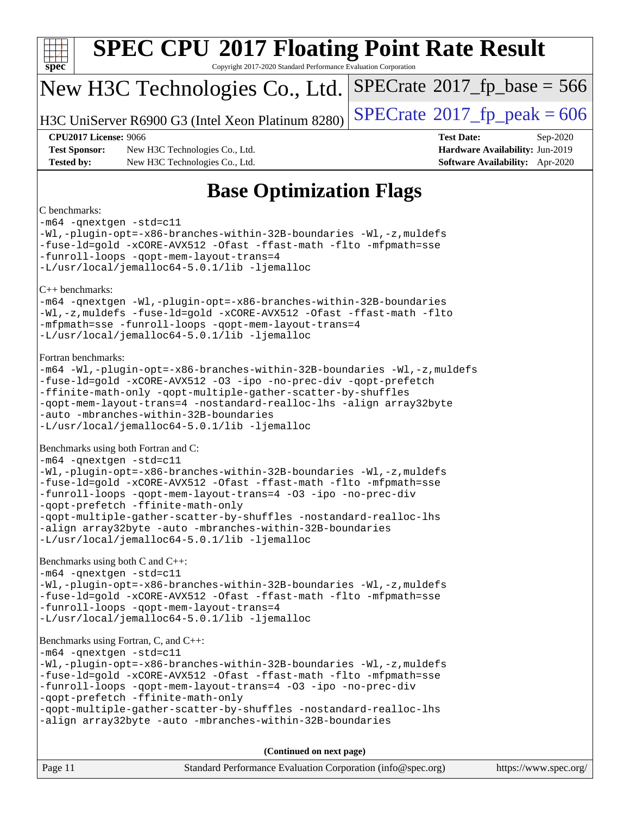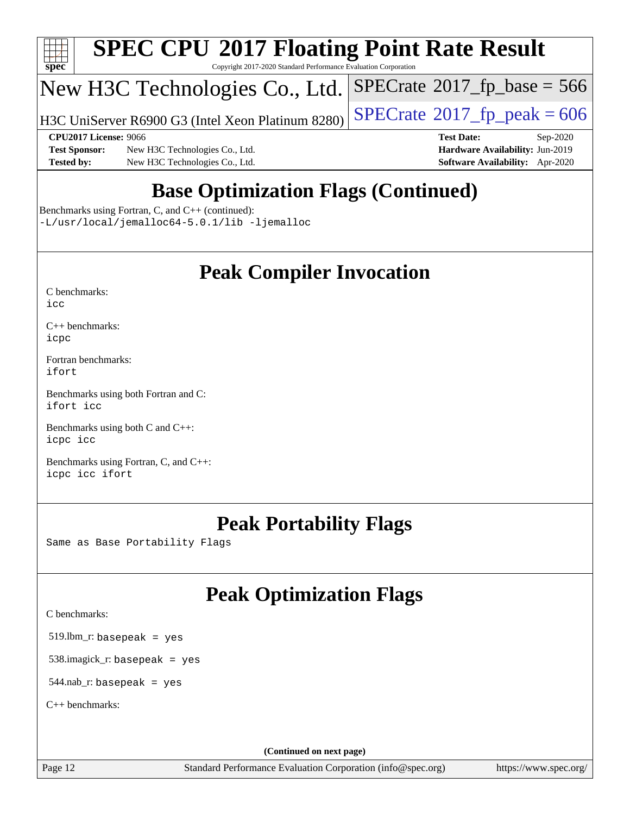

Copyright 2017-2020 Standard Performance Evaluation Corporation

## New H3C Technologies Co., Ltd.

H3C UniServer R6900 G3 (Intel Xeon Platinum 8280)  $\big|\operatorname{SPECrate}@2017\_fp\_peak = 606$  $\big|\operatorname{SPECrate}@2017\_fp\_peak = 606$  $\big|\operatorname{SPECrate}@2017\_fp\_peak = 606$ 

 $SPECTate$ <sup>®</sup>[2017\\_fp\\_base =](http://www.spec.org/auto/cpu2017/Docs/result-fields.html#SPECrate2017fpbase) 566

**[Test Sponsor:](http://www.spec.org/auto/cpu2017/Docs/result-fields.html#TestSponsor)** New H3C Technologies Co., Ltd. **[Hardware Availability:](http://www.spec.org/auto/cpu2017/Docs/result-fields.html#HardwareAvailability)** Jun-2019 **[Tested by:](http://www.spec.org/auto/cpu2017/Docs/result-fields.html#Testedby)** New H3C Technologies Co., Ltd. **[Software Availability:](http://www.spec.org/auto/cpu2017/Docs/result-fields.html#SoftwareAvailability)** Apr-2020

**[CPU2017 License:](http://www.spec.org/auto/cpu2017/Docs/result-fields.html#CPU2017License)** 9066 **[Test Date:](http://www.spec.org/auto/cpu2017/Docs/result-fields.html#TestDate)** Sep-2020

## **[Base Optimization Flags \(Continued\)](http://www.spec.org/auto/cpu2017/Docs/result-fields.html#BaseOptimizationFlags)**

[Benchmarks using Fortran, C, and C++](http://www.spec.org/auto/cpu2017/Docs/result-fields.html#BenchmarksusingFortranCandCXX) (continued): [-L/usr/local/jemalloc64-5.0.1/lib](http://www.spec.org/cpu2017/results/res2020q4/cpu2017-20201014-24210.flags.html#user_CC_CXX_FCbase_jemalloc_link_path64_1_cc289568b1a6c0fd3b62c91b824c27fcb5af5e8098e6ad028160d21144ef1b8aef3170d2acf0bee98a8da324cfe4f67d0a3d0c4cc4673d993d694dc2a0df248b) [-ljemalloc](http://www.spec.org/cpu2017/results/res2020q4/cpu2017-20201014-24210.flags.html#user_CC_CXX_FCbase_jemalloc_link_lib_d1249b907c500fa1c0672f44f562e3d0f79738ae9e3c4a9c376d49f265a04b9c99b167ecedbf6711b3085be911c67ff61f150a17b3472be731631ba4d0471706)

## **[Peak Compiler Invocation](http://www.spec.org/auto/cpu2017/Docs/result-fields.html#PeakCompilerInvocation)**

| C benchmarks: |  |
|---------------|--|
| icc           |  |

[C++ benchmarks:](http://www.spec.org/auto/cpu2017/Docs/result-fields.html#CXXbenchmarks) [icpc](http://www.spec.org/cpu2017/results/res2020q4/cpu2017-20201014-24210.flags.html#user_CXXpeak_intel_icpc_c510b6838c7f56d33e37e94d029a35b4a7bccf4766a728ee175e80a419847e808290a9b78be685c44ab727ea267ec2f070ec5dc83b407c0218cded6866a35d07)

[Fortran benchmarks](http://www.spec.org/auto/cpu2017/Docs/result-fields.html#Fortranbenchmarks): [ifort](http://www.spec.org/cpu2017/results/res2020q4/cpu2017-20201014-24210.flags.html#user_FCpeak_intel_ifort_8111460550e3ca792625aed983ce982f94888b8b503583aa7ba2b8303487b4d8a21a13e7191a45c5fd58ff318f48f9492884d4413fa793fd88dd292cad7027ca)

[Benchmarks using both Fortran and C](http://www.spec.org/auto/cpu2017/Docs/result-fields.html#BenchmarksusingbothFortranandC): [ifort](http://www.spec.org/cpu2017/results/res2020q4/cpu2017-20201014-24210.flags.html#user_CC_FCpeak_intel_ifort_8111460550e3ca792625aed983ce982f94888b8b503583aa7ba2b8303487b4d8a21a13e7191a45c5fd58ff318f48f9492884d4413fa793fd88dd292cad7027ca) [icc](http://www.spec.org/cpu2017/results/res2020q4/cpu2017-20201014-24210.flags.html#user_CC_FCpeak_intel_icc_66fc1ee009f7361af1fbd72ca7dcefbb700085f36577c54f309893dd4ec40d12360134090235512931783d35fd58c0460139e722d5067c5574d8eaf2b3e37e92)

[Benchmarks using both C and C++](http://www.spec.org/auto/cpu2017/Docs/result-fields.html#BenchmarksusingbothCandCXX): [icpc](http://www.spec.org/cpu2017/results/res2020q4/cpu2017-20201014-24210.flags.html#user_CC_CXXpeak_intel_icpc_c510b6838c7f56d33e37e94d029a35b4a7bccf4766a728ee175e80a419847e808290a9b78be685c44ab727ea267ec2f070ec5dc83b407c0218cded6866a35d07) [icc](http://www.spec.org/cpu2017/results/res2020q4/cpu2017-20201014-24210.flags.html#user_CC_CXXpeak_intel_icc_66fc1ee009f7361af1fbd72ca7dcefbb700085f36577c54f309893dd4ec40d12360134090235512931783d35fd58c0460139e722d5067c5574d8eaf2b3e37e92)

[Benchmarks using Fortran, C, and C++:](http://www.spec.org/auto/cpu2017/Docs/result-fields.html#BenchmarksusingFortranCandCXX) [icpc](http://www.spec.org/cpu2017/results/res2020q4/cpu2017-20201014-24210.flags.html#user_CC_CXX_FCpeak_intel_icpc_c510b6838c7f56d33e37e94d029a35b4a7bccf4766a728ee175e80a419847e808290a9b78be685c44ab727ea267ec2f070ec5dc83b407c0218cded6866a35d07) [icc](http://www.spec.org/cpu2017/results/res2020q4/cpu2017-20201014-24210.flags.html#user_CC_CXX_FCpeak_intel_icc_66fc1ee009f7361af1fbd72ca7dcefbb700085f36577c54f309893dd4ec40d12360134090235512931783d35fd58c0460139e722d5067c5574d8eaf2b3e37e92) [ifort](http://www.spec.org/cpu2017/results/res2020q4/cpu2017-20201014-24210.flags.html#user_CC_CXX_FCpeak_intel_ifort_8111460550e3ca792625aed983ce982f94888b8b503583aa7ba2b8303487b4d8a21a13e7191a45c5fd58ff318f48f9492884d4413fa793fd88dd292cad7027ca)

## **[Peak Portability Flags](http://www.spec.org/auto/cpu2017/Docs/result-fields.html#PeakPortabilityFlags)**

Same as Base Portability Flags

## **[Peak Optimization Flags](http://www.spec.org/auto/cpu2017/Docs/result-fields.html#PeakOptimizationFlags)**

[C benchmarks](http://www.spec.org/auto/cpu2017/Docs/result-fields.html#Cbenchmarks):

519.lbm\_r: basepeak = yes

538.imagick\_r: basepeak = yes

544.nab\_r: basepeak = yes

[C++ benchmarks:](http://www.spec.org/auto/cpu2017/Docs/result-fields.html#CXXbenchmarks)

**(Continued on next page)**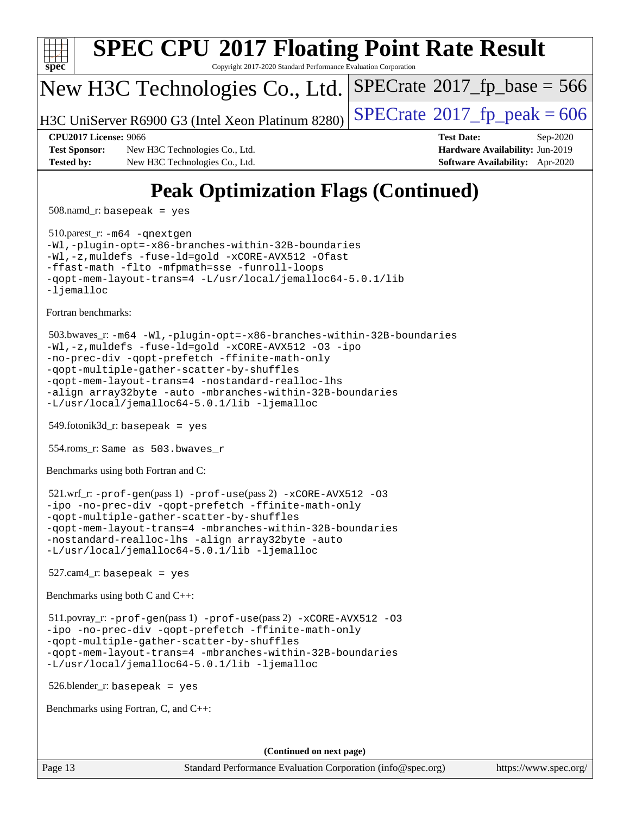

508.namd\_r: basepeak = yes

 510.parest\_r: [-m64](http://www.spec.org/cpu2017/results/res2020q4/cpu2017-20201014-24210.flags.html#user_peakCXXLD510_parest_r_m64-icc) [-qnextgen](http://www.spec.org/cpu2017/results/res2020q4/cpu2017-20201014-24210.flags.html#user_peakCXXLD510_parest_r_f-qnextgen) [-Wl,-plugin-opt=-x86-branches-within-32B-boundaries](http://www.spec.org/cpu2017/results/res2020q4/cpu2017-20201014-24210.flags.html#user_peakLDFLAGS510_parest_r_f-x86-branches-within-32B-boundaries_0098b4e4317ae60947b7b728078a624952a08ac37a3c797dfb4ffeb399e0c61a9dd0f2f44ce917e9361fb9076ccb15e7824594512dd315205382d84209e912f3) [-Wl,-z,muldefs](http://www.spec.org/cpu2017/results/res2020q4/cpu2017-20201014-24210.flags.html#user_peakEXTRA_LDFLAGS510_parest_r_link_force_multiple1_b4cbdb97b34bdee9ceefcfe54f4c8ea74255f0b02a4b23e853cdb0e18eb4525ac79b5a88067c842dd0ee6996c24547a27a4b99331201badda8798ef8a743f577) [-fuse-ld=gold](http://www.spec.org/cpu2017/results/res2020q4/cpu2017-20201014-24210.flags.html#user_peakEXTRA_LDFLAGS510_parest_r_f-fuse-ld_920b3586e2b8c6e0748b9c84fa9b744736ba725a32cab14ad8f3d4ad28eecb2f59d1144823d2e17006539a88734fe1fc08fc3035f7676166309105a78aaabc32) [-xCORE-AVX512](http://www.spec.org/cpu2017/results/res2020q4/cpu2017-20201014-24210.flags.html#user_peakCXXOPTIMIZE510_parest_r_f-xCORE-AVX512) [-Ofast](http://www.spec.org/cpu2017/results/res2020q4/cpu2017-20201014-24210.flags.html#user_peakCXXOPTIMIZE510_parest_r_f-Ofast) [-ffast-math](http://www.spec.org/cpu2017/results/res2020q4/cpu2017-20201014-24210.flags.html#user_peakCXXOPTIMIZE510_parest_r_f-ffast-math) [-flto](http://www.spec.org/cpu2017/results/res2020q4/cpu2017-20201014-24210.flags.html#user_peakCXXOPTIMIZE510_parest_r_f-flto) [-mfpmath=sse](http://www.spec.org/cpu2017/results/res2020q4/cpu2017-20201014-24210.flags.html#user_peakCXXOPTIMIZE510_parest_r_f-mfpmath_70eb8fac26bde974f8ab713bc9086c5621c0b8d2f6c86f38af0bd7062540daf19db5f3a066d8c6684be05d84c9b6322eb3b5be6619d967835195b93d6c02afa1) [-funroll-loops](http://www.spec.org/cpu2017/results/res2020q4/cpu2017-20201014-24210.flags.html#user_peakCXXOPTIMIZE510_parest_r_f-funroll-loops) [-qopt-mem-layout-trans=4](http://www.spec.org/cpu2017/results/res2020q4/cpu2017-20201014-24210.flags.html#user_peakCXXOPTIMIZE510_parest_r_f-qopt-mem-layout-trans_fa39e755916c150a61361b7846f310bcdf6f04e385ef281cadf3647acec3f0ae266d1a1d22d972a7087a248fd4e6ca390a3634700869573d231a252c784941a8) [-L/usr/local/jemalloc64-5.0.1/lib](http://www.spec.org/cpu2017/results/res2020q4/cpu2017-20201014-24210.flags.html#user_peakEXTRA_LIBS510_parest_r_jemalloc_link_path64_1_cc289568b1a6c0fd3b62c91b824c27fcb5af5e8098e6ad028160d21144ef1b8aef3170d2acf0bee98a8da324cfe4f67d0a3d0c4cc4673d993d694dc2a0df248b) [-ljemalloc](http://www.spec.org/cpu2017/results/res2020q4/cpu2017-20201014-24210.flags.html#user_peakEXTRA_LIBS510_parest_r_jemalloc_link_lib_d1249b907c500fa1c0672f44f562e3d0f79738ae9e3c4a9c376d49f265a04b9c99b167ecedbf6711b3085be911c67ff61f150a17b3472be731631ba4d0471706)

[Fortran benchmarks](http://www.spec.org/auto/cpu2017/Docs/result-fields.html#Fortranbenchmarks):

```
 503.bwaves_r: -m64 -Wl,-plugin-opt=-x86-branches-within-32B-boundaries
-Wl,-z,muldefs -fuse-ld=gold -xCORE-AVX512 -O3 -ipo
-no-prec-div -qopt-prefetch -ffinite-math-only
-qopt-multiple-gather-scatter-by-shuffles
-qopt-mem-layout-trans=4 -nostandard-realloc-lhs
-align array32byte -auto -mbranches-within-32B-boundaries
-L/usr/local/jemalloc64-5.0.1/lib -ljemalloc
```
549.fotonik3d\_r: basepeak = yes

554.roms\_r: Same as 503.bwaves\_r

[Benchmarks using both Fortran and C](http://www.spec.org/auto/cpu2017/Docs/result-fields.html#BenchmarksusingbothFortranandC):

```
 521.wrf_r: -prof-gen(pass 1) -prof-use(pass 2) -xCORE-AVX512 -O3
-ipo -no-prec-div -qopt-prefetch -ffinite-math-only
-qopt-multiple-gather-scatter-by-shuffles
-qopt-mem-layout-trans=4 -mbranches-within-32B-boundaries
-nostandard-realloc-lhs -align array32byte -auto
-L/usr/local/jemalloc64-5.0.1/lib -ljemalloc
```
 $527$ .cam $4$ \_r: basepeak = yes

[Benchmarks using both C and C++](http://www.spec.org/auto/cpu2017/Docs/result-fields.html#BenchmarksusingbothCandCXX):

 511.povray\_r: [-prof-gen](http://www.spec.org/cpu2017/results/res2020q4/cpu2017-20201014-24210.flags.html#user_peakPASS1_CFLAGSPASS1_CXXFLAGSPASS1_LDFLAGS511_povray_r_prof_gen_5aa4926d6013ddb2a31985c654b3eb18169fc0c6952a63635c234f711e6e63dd76e94ad52365559451ec499a2cdb89e4dc58ba4c67ef54ca681ffbe1461d6b36)(pass 1) [-prof-use](http://www.spec.org/cpu2017/results/res2020q4/cpu2017-20201014-24210.flags.html#user_peakPASS2_CFLAGSPASS2_CXXFLAGSPASS2_LDFLAGS511_povray_r_prof_use_1a21ceae95f36a2b53c25747139a6c16ca95bd9def2a207b4f0849963b97e94f5260e30a0c64f4bb623698870e679ca08317ef8150905d41bd88c6f78df73f19)(pass 2) [-xCORE-AVX512](http://www.spec.org/cpu2017/results/res2020q4/cpu2017-20201014-24210.flags.html#user_peakCOPTIMIZECXXOPTIMIZEPASS2_COPTIMIZEPASS2_CXXOPTIMIZE511_povray_r_f-xCORE-AVX512) [-O3](http://www.spec.org/cpu2017/results/res2020q4/cpu2017-20201014-24210.flags.html#user_peakCOPTIMIZECXXOPTIMIZEPASS1_COPTIMIZEPASS1_CXXOPTIMIZEPASS2_COPTIMIZEPASS2_CXXOPTIMIZE511_povray_r_f-O3) [-ipo](http://www.spec.org/cpu2017/results/res2020q4/cpu2017-20201014-24210.flags.html#user_peakCOPTIMIZECXXOPTIMIZEPASS1_COPTIMIZEPASS1_CXXOPTIMIZEPASS2_COPTIMIZEPASS2_CXXOPTIMIZE511_povray_r_f-ipo) [-no-prec-div](http://www.spec.org/cpu2017/results/res2020q4/cpu2017-20201014-24210.flags.html#user_peakCOPTIMIZECXXOPTIMIZEPASS1_COPTIMIZEPASS1_CXXOPTIMIZEPASS2_COPTIMIZEPASS2_CXXOPTIMIZE511_povray_r_f-no-prec-div) [-qopt-prefetch](http://www.spec.org/cpu2017/results/res2020q4/cpu2017-20201014-24210.flags.html#user_peakCOPTIMIZECXXOPTIMIZEPASS1_COPTIMIZEPASS1_CXXOPTIMIZEPASS2_COPTIMIZEPASS2_CXXOPTIMIZE511_povray_r_f-qopt-prefetch) [-ffinite-math-only](http://www.spec.org/cpu2017/results/res2020q4/cpu2017-20201014-24210.flags.html#user_peakCOPTIMIZECXXOPTIMIZEPASS1_COPTIMIZEPASS1_CXXOPTIMIZEPASS2_COPTIMIZEPASS2_CXXOPTIMIZE511_povray_r_f_finite_math_only_cb91587bd2077682c4b38af759c288ed7c732db004271a9512da14a4f8007909a5f1427ecbf1a0fb78ff2a814402c6114ac565ca162485bbcae155b5e4258871) [-qopt-multiple-gather-scatter-by-shuffles](http://www.spec.org/cpu2017/results/res2020q4/cpu2017-20201014-24210.flags.html#user_peakCOPTIMIZECXXOPTIMIZEPASS1_COPTIMIZEPASS1_CXXOPTIMIZEPASS2_COPTIMIZEPASS2_CXXOPTIMIZE511_povray_r_f-qopt-multiple-gather-scatter-by-shuffles) [-qopt-mem-layout-trans=4](http://www.spec.org/cpu2017/results/res2020q4/cpu2017-20201014-24210.flags.html#user_peakCOPTIMIZECXXOPTIMIZEPASS1_COPTIMIZEPASS1_CXXOPTIMIZEPASS2_COPTIMIZEPASS2_CXXOPTIMIZE511_povray_r_f-qopt-mem-layout-trans_fa39e755916c150a61361b7846f310bcdf6f04e385ef281cadf3647acec3f0ae266d1a1d22d972a7087a248fd4e6ca390a3634700869573d231a252c784941a8) [-mbranches-within-32B-boundaries](http://www.spec.org/cpu2017/results/res2020q4/cpu2017-20201014-24210.flags.html#user_peakEXTRA_COPTIMIZEEXTRA_CXXOPTIMIZE511_povray_r_f-mbranches-within-32B-boundaries) [-L/usr/local/jemalloc64-5.0.1/lib](http://www.spec.org/cpu2017/results/res2020q4/cpu2017-20201014-24210.flags.html#user_peakEXTRA_LIBS511_povray_r_jemalloc_link_path64_1_cc289568b1a6c0fd3b62c91b824c27fcb5af5e8098e6ad028160d21144ef1b8aef3170d2acf0bee98a8da324cfe4f67d0a3d0c4cc4673d993d694dc2a0df248b) [-ljemalloc](http://www.spec.org/cpu2017/results/res2020q4/cpu2017-20201014-24210.flags.html#user_peakEXTRA_LIBS511_povray_r_jemalloc_link_lib_d1249b907c500fa1c0672f44f562e3d0f79738ae9e3c4a9c376d49f265a04b9c99b167ecedbf6711b3085be911c67ff61f150a17b3472be731631ba4d0471706)

526.blender\_r: basepeak = yes

[Benchmarks using Fortran, C, and C++:](http://www.spec.org/auto/cpu2017/Docs/result-fields.html#BenchmarksusingFortranCandCXX)

**(Continued on next page)**